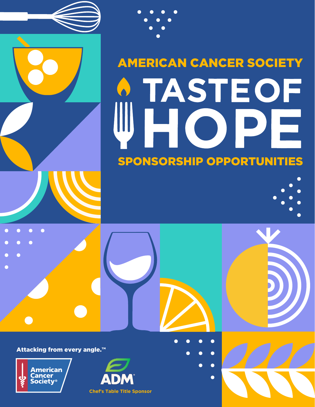



 $\bullet$ 

 $\bullet$ 

 $\bullet$ 

 $\bullet$ 

 $\bullet$ 

Attacking from every angle.<sup>™</sup>



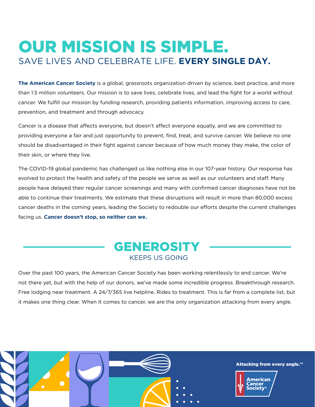### OUR MISSION IS SIMPLE. SAVE LIVES AND CELEBRATE LIFE. **EVERY SINGLE DAY.**

**The American Cancer Society** is a global, grassroots organization driven by science, best practice, and more than 1.5 million volunteers. Our mission is to save lives, celebrate lives, and lead the fight for a world without cancer. We fulfill our mission by funding research, providing patients information, improving access to care, prevention, and treatment and through advocacy.

Cancer is a disease that affects everyone, but doesn't affect everyone equally, and we are committed to providing everyone a fair and just opportunity to prevent, find, treat, and survive cancer. We believe no one should be disadvantaged in their fight against cancer because of how much money they make, the color of their skin, or where they live.

The COVID-19 global pandemic has challenged us like nothing else in our 107-year history. Our response has evolved to protect the health and safety of the people we serve as well as our volunteers and staff. Many people have delayed their regular cancer screenings and many with confirmed cancer diagnoses have not be able to continue their treatments. We estimate that these disruptions will result in more than 80,000 excess cancer deaths in the coming years, leading the Society to redouble our efforts despite the current challenges facing us. **Cancer doesn't stop, so neither can we.**



Over the past 100 years, the American Cancer Society has been working relentlessly to end cancer. We're not there yet, but with the help of our donors, we've made some incredible progress. Breakthrough research. Free lodging near treatment. A 24/7/365 live helpline. Rides to treatment. This is far from a complete list, but it makes one thing clear. When it comes to cancer, we are the only organization attacking from every angle.

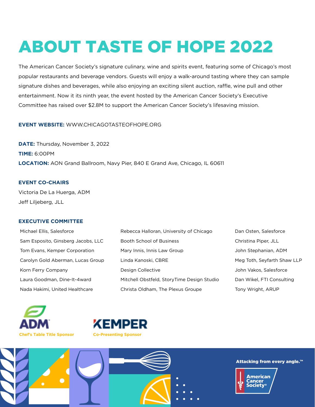# ABOUT TASTE OF HOPE 2022

The American Cancer Society's signature culinary, wine and spirits event, featuring some of Chicago's most popular restaurants and beverage vendors. Guests will enjoy a walk-around tasting where they can sample signature dishes and beverages, while also enjoying an exciting silent auction, raffle, wine pull and other entertainment. Now it its ninth year, the event hosted by the American Cancer Society's Executive Committee has raised over \$2.8M to support the American Cancer Society's lifesaving mission.

### **EVENT WEBSITE:** WWW.CHICAGOTASTEOFHOPE.ORG

**DATE:** Thursday, November 3, 2022 **TIME:** 6:00PM **LOCATION:** AON Grand Ballroom, Navy Pier, 840 E Grand Ave, Chicago, IL 60611

**EVENT CO-CHAIRS** Victoria De La Huerga, ADM Jeff Liljeberg, JLL

#### **EXECUTIVE COMMITTEE**

| Michael Ellis, Salesforce          | Rebecca Halloran, University of Chicago                                 | Dan Osten, Salesforce  |
|------------------------------------|-------------------------------------------------------------------------|------------------------|
| Sam Esposito, Ginsberg Jacobs, LLC | Booth School of Business                                                | Christina Piper, JLL   |
| Tom Evans, Kemper Corporation      | Mary Innis, Innis Law Group                                             | John Stephanian, ADM   |
| Carolyn Gold Aberman, Lucas Group  | Linda Kanoski, CBRE<br>Meg Toth, Seyfarth Shaw LLP                      |                        |
| Korn Ferry Company                 | Design Collective                                                       | John Vakos, Salesforce |
| Laura Goodman, Dine-It-4ward       | Mitchell Obstfeld, StoryTime Design Studio<br>Dan Wikel, FTI Consulting |                        |
| Nada Hakimi, United Healthcare     | Christa Oldham, The Plexus Groupe<br>Tony Wright, ARUP                  |                        |







#### Attacking from every angle.™